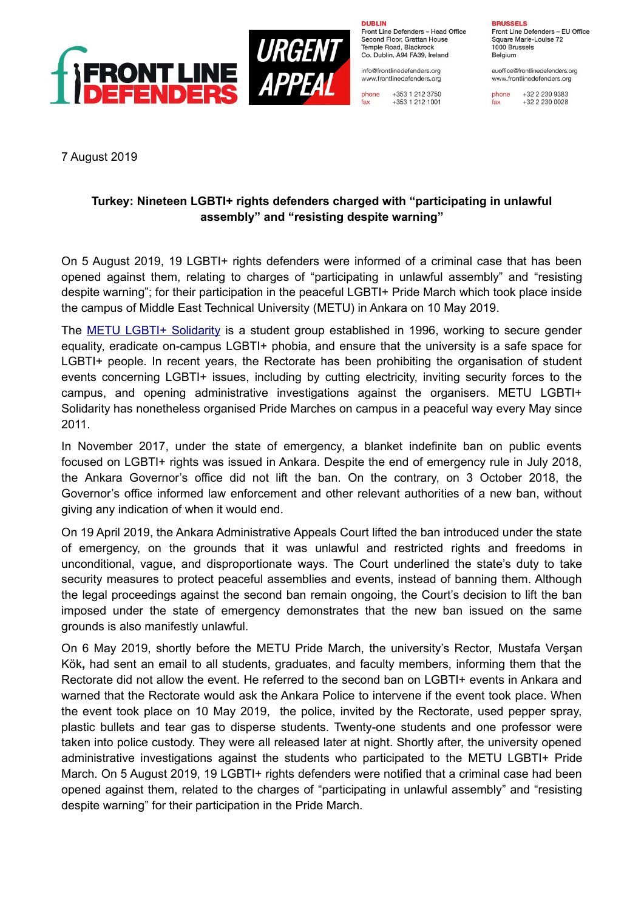

**DURLIN** 

Front Line Defenders - Head Office Second Floor, Grattan House Temple Boad, Blackrock Co. Dublin, A94 FA39, Ireland

info@frontlinedefenders.org www.frontlinedefenders.org

phone +353 1 212 3750 fax +353 1 212 1001 **BDHCCELC** 

Front Line Defenders - EU Office Square Marie-Louise 72 1000 Brussels Belgium

euoffice@frontlinedefenders.org www.frontlinedefenders.org

phone +32 2 230 9383 fax +32 2 230 0028

7 August 2019

## **Turkey: Nineteen LGBTI+ rights defenders charged with "participating in unlawful assembly" and "resisting despite warning"**

On 5 August 2019, 19 LGBTI+ rights defenders were informed of a criminal case that has been opened against them, relating to charges of "participating in unlawful assembly" and "resisting despite warning"; for their participation in the peaceful LGBTI+ Pride March which took place inside the campus of Middle East Technical University (METU) in Ankara on 10 May 2019.

The [METU LGBTI+ Solidarity](https://www.frontlinedefenders.org/en/organization/metu-lgbti-solidarity) is a student group established in 1996, working to secure gender equality, eradicate on-campus LGBTI+ phobia, and ensure that the university is a safe space for LGBTI+ people. In recent years, the Rectorate has been prohibiting the organisation of student events concerning LGBTI+ issues, including by cutting electricity, inviting security forces to the campus, and opening administrative investigations against the organisers. METU LGBTI+ Solidarity has nonetheless organised Pride Marches on campus in a peaceful way every May since 2011.

In November 2017, under the state of emergency, a blanket indefinite ban on public events focused on LGBTI+ rights was issued in Ankara. Despite the end of emergency rule in July 2018, the Ankara Governor's office did not lift the ban. On the contrary, on 3 October 2018, the Governor's office informed law enforcement and other relevant authorities of a new ban, without giving any indication of when it would end.

On 19 April 2019, the Ankara Administrative Appeals Court lifted the ban introduced under the state of emergency, on the grounds that it was unlawful and restricted rights and freedoms in unconditional, vague, and disproportionate ways. The Court underlined the state's duty to take security measures to protect peaceful assemblies and events, instead of banning them. Although the legal proceedings against the second ban remain ongoing, the Court's decision to lift the ban imposed under the state of emergency demonstrates that the new ban issued on the same grounds is also manifestly unlawful.

On 6 May 2019, shortly before the METU Pride March, the university's Rector, Mustafa Verşan Kök**,** had sent an email to all students, graduates, and faculty members, informing them that the Rectorate did not allow the event. He referred to the second ban on LGBTI+ events in Ankara and warned that the Rectorate would ask the Ankara Police to intervene if the event took place. When the event took place on 10 May 2019, the police, invited by the Rectorate, used pepper spray, plastic bullets and tear gas to disperse students. Twenty-one students and one professor were taken into police custody. They were all released later at night. Shortly after, the university opened administrative investigations against the students who participated to the METU LGBTI+ Pride March. On 5 August 2019, 19 LGBTI+ rights defenders were notified that a criminal case had been opened against them, related to the charges of "participating in unlawful assembly" and "resisting despite warning" for their participation in the Pride March.